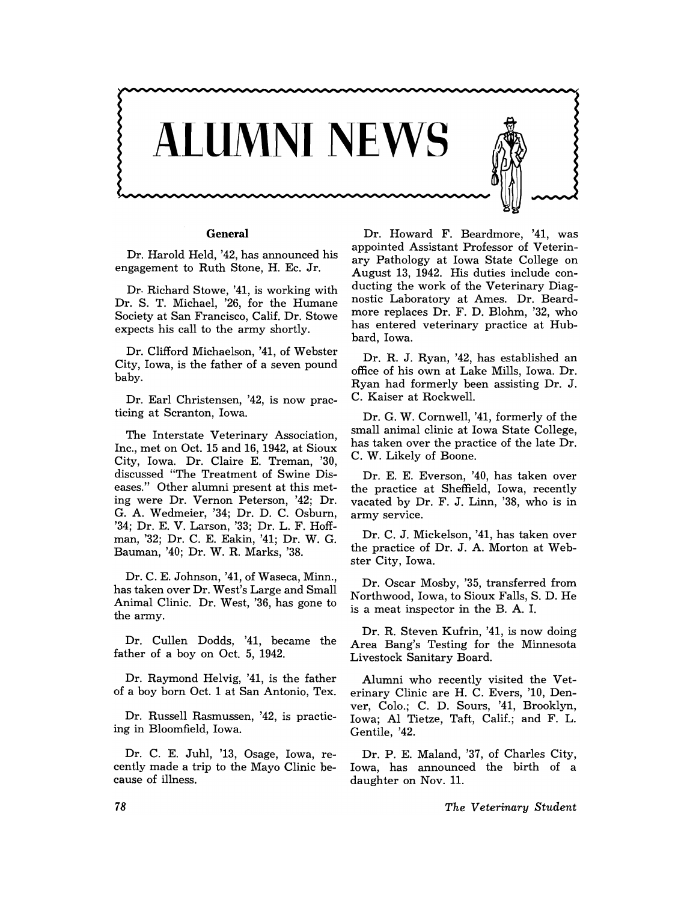

## **General**

Dr. Harold Held, '42, has announced his engagement to Ruth Stone, H. Ec. Jr.

Dr. Richard Stowe, '41, is working with Dr. S. T. Michael, '26, for the Humane Society at San Francisco, Calif. Dr. Stowe expects his call to the army shortly.

Dr. Clifford Michaelson, '41, of Webster City, Iowa, is the father of a seven pound baby.

Dr. Earl Christensen, '42, is now practicing at Scranton, Iowa.

The Interstate Veterinary Association, Inc., met on Oct. 15 and 16, 1942, at Sioux City, Iowa. Dr. Claire E. Treman, '30, discussed "The Treatment of Swine Diseases." Other alumni present at this meting were Dr. Vernon Peterson, '42; Dr. G. A. Wedmeier, '34; Dr. D. C. Osburn, '34; Dr. E. V. Larson, '33; Dr. L. F. Hoffman, '32; Dr. C. E. Eakin, '41; Dr. W. G. Bauman, '40; Dr. W. R. Marks, '38.

Dr. C. E. Johnson, '41, of Waseca, Minn., has taken over Dr. West's Large and Small Animal Clinic. Dr. West, '36, has gone to the army.

Dr. Cullen Dodds, '41, became the father of a boy on Oct. 5, 1942.

Dr. Raymond Helvig, '41, is the father of a boy born Oct. 1 at San Antonio, Tex.

Dr. Russell Rasmussen, '42, is practicing in Bloomfield, Iowa.

Dr. C. E. Juhl, '13, Osage, Iowa, recently made a trip to the Mayo Clinic because of illness.

Dr. Howard F. Beardmore, '41, was appointed Assistant Professor of Veterinary Pathology at Iowa State College on August 13, 1942. His duties include conducting the work of the Veterinary Diagnostic Laboratory at Ames. Dr. Beardmore replaces Dr. F. D. Blohm, '32, who has entered veterinary practice at Hubbard, Iowa.

Dr. R. J. Ryan, '42, has established an office of his own at Lake Mills, Iowa. Dr. Ryan had formerly been assisting Dr. J. C. Kaiser at Rockwell.

Dr. G. W. Cornwell, '41, formerly of the small animal clinic at Iowa State College, has taken over the practice of the late Dr. C. W. Likely of Boone.

Dr. E. E. Everson, '40, has taken over the practice at Sheffield, Iowa, recently vacated by Dr. F. J. Linn, '38, who is in army service.

Dr. C. J. Mickelson, '41, has taken over the practice of Dr. J. A. Morton at Webster City, Iowa.

Dr. Oscar Mosby, '35, transferred from Northwood, Iowa, to Sioux Falls, S. D. He is a meat inspector in the B. A. I.

Dr. R. Steven Kufrin, '41, is now doing Area Bang's Testing for the Minnesota Livestock Sanitary Board.

Alumni who recently visited the Veterinary Clinic are H. C. Evers, '10, Denver, Colo.; C. D. Sours, '41, Brooklyn, Iowa; Al Tietze, Taft, Calif.; and F. L. Gentile, '42.

Dr. P. E. Maland, '37, of Charles City, Iowa, has announced the birth of a daughter on Nov. 11.

*The Veterinary Student*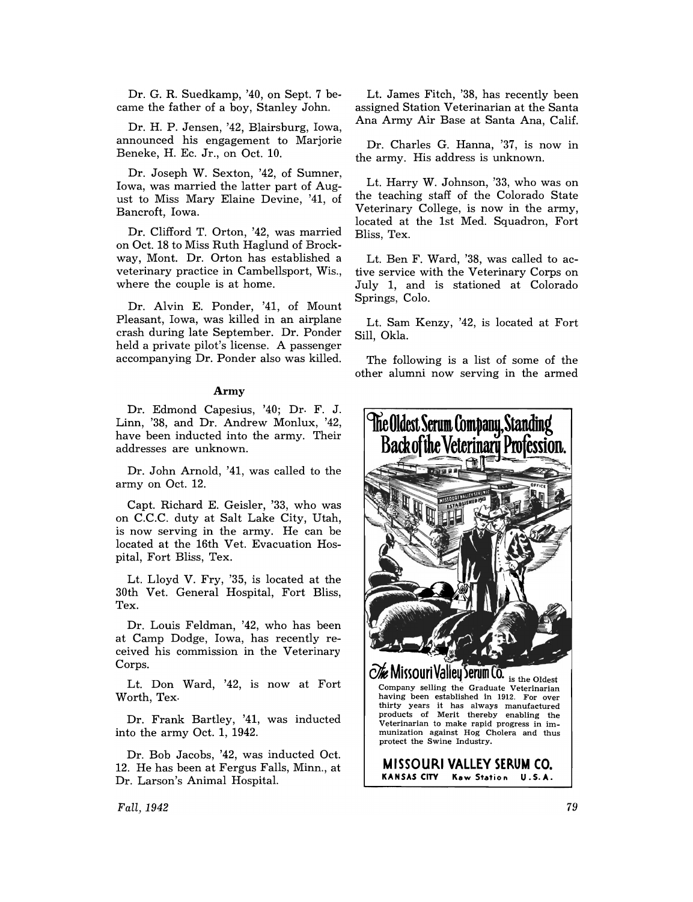Dr. G. R. Suedkamp, '40, on Sept. 7 became the father of a boy, Stanley John.

Dr. H. P. Jensen, '42, Blairsburg, Iowa, announced his engagement to Marjorie Beneke, H. Ec. Jr., on Oct. 10.

Dr. Joseph W. Sexton, '42, of Sumner, Iowa, was married the latter part of August to Miss Mary Elaine Devine, '41, of Bancroft, Iowa.

Dr. Clifford T. Orton, '42, was married on Oct. 18 to Miss Ruth Haglund of Brockway, Mont. Dr. Orton has established a veterinary practice in Cambellsport, Wis., where the couple is at home.

Dr. Alvin E. Ponder, '41, of Mount Pleasant, Iowa, was killed in an airplane crash during late September. Dr. Ponder held a private pilot's license. A passenger accompanying Dr. Ponder also was killed.

## Army

Dr. Edmond Capesius, '40; Dr. F. J. Linn, '38, and Dr. Andrew Monlux, '42, have been inducted into the army. Their addresses are unknown.

Dr. John Arnold, '41, was called to the army on Oct. 12.

Capt. Richard E. Geisler, '33, who was on C.C.C. duty at Salt Lake City, Utah, is now serving in the army. He can be located at the 16th Vet. Evacuation Hospital, Fort Bliss, Tex.

Lt. Lloyd V. Fry, '35, is located at the 30th Vet. General Hospital, Fort Bliss, Tex.

Dr. Louis Feldman, '42, who has been at Camp Dodge, Iowa, has recently received his commission in the Veterinary Corps.

Lt. Don Ward, '42, is now at Fort Worth, Tex.

Dr. Frank Bartley, '41, was inducted into the army Oct. 1, 1942.

Dr. Bob Jacobs, '42, was inducted Oct. 12. He has been at Fergus Falls, Minn., at Dr. Larson's Animal Hospital.

Lt. James Fitch, '38, has recently been assigned Station Veterinarian at the Santa Ana Army Air Base at Santa Ana, Calif.

Dr. Charles G. Hanna, '37, is now in the army. His address is unknown.

Lt. Harry W. Johnson, '33, who was on the teaching staff of the Colorado State Veterinary College, is now in the army, located at the 1st Med. Squadron, Fort Bliss, Tex.

Lt. Ben F. Ward, '38, was called to active service with the Veterinary Corps on July 1, and is stationed at Colorado Springs, Colo.

Lt. Sam Kenzy, '42, is located at Fort Sill, Okla.

The following is a list of some of the other alumni now serving in the armed



*Fall,1942*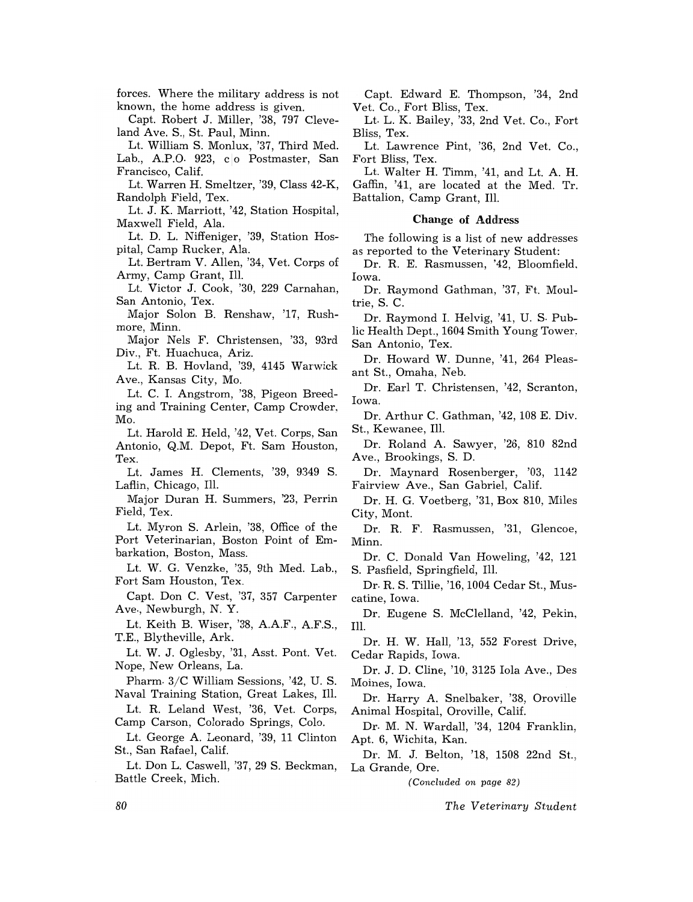forces. Where the military address is not known, the home address is given.

Capt. Robert J. Miller, '38, 797 Cleveland Ave. S., St. Paul, Minn.

Lt. William S. Monlux, '37, Third Med. Lab., A.P.O. 923, co Postmaster, San Francisco, Calif.

Lt. Warren H. Smeltzer, '39, Class 42-K, Randolph Field, Tex.

Lt. J. K. Marriott, '42, Station Hospital, Maxwell Field, Ala.

Lt. D. L. Nifieniger, '39, Station Hospital, Camp Rucker, Ala.

Lt. Bertram V. Allen, '34, Vet. Corps of Army, Camp Grant, Ill.

Lt. Victor J. Cook, '30, 229 Carnahan, San Antonio, Tex.

Major Solon B. Renshaw, '17, Rushmore, Minn.

Major Nels F. Christensen, '33, 93rd Div., Ft. Huachuca, Ariz.

Lt. R. B. Hovland, '39, 4145 Warwick Ave., Kansas City, Mo.

Lt. C. 1. Angstrom, '38, Pigeon Breeding and Training Center, Camp Crowder, Mo.

Lt. Harold E. Held, '42, Vet. Corps, San Antonio, Q.M. Depot, Ft. Sam Houston, Tex.

Lt. James H. Clements, '39, 9349 S. Laflin, Chicago, Ill.

Major Duran H. Summers, '23, Perrin Field, Tex.

Lt. Myron S. Arlein, '38, Office of the Port Veterinarian, Boston Point of Embarkation, Boston, Mass.

Lt. W. G. Venzke, '35, 9th Med. Lab., Fort Sam Houston, Tex.

Capt. Don C. Vest, '37, 357 Carpenter Ave., Newburgh, N. Y.

Lt. Keith B. Wiser, '38, A.AF., AF.S., T.E., Blytheville, Ark.

Lt. W. J. Oglesby, '31, Asst. Pont. Vet. Nope, New Orleans, La.

Pharm. 3/C William Sessions, '42, U. S. Naval Training Station, Great Lakes, Ill.

Lt. R. Leland West, '36, Vet. Corps, Camp Carson, Colorado Springs, Colo.

Lt. George A. Leonard, '39, 11 Clinton St., San Rafael, Calif.

Lt. Don L. Caswell, '37,29 S. Beckman, Battle Creek, Mich.

Capt. Edward E. Thompson, '34, 2nd Vet. Co., Fort Bliss, Tex.

Lt. L. K. Bailey, '33, 2nd Vet. Co., Fort Bliss, Tex.

Lt. Lawrence Pint, '36, 2nd Vet. Co., Fort Bliss, Tex.

Lt. Walter H. Timm, '41, and Lt. A. H. Gaffin, '41, are located at the Med. Tr. Battalion, Camp Grant, Ill.

## Change of Address

The following is a list of new addresses as reported to the Veterinary Student:

Dr. R. E. Rasmussen, '42, Bloomfield. Iowa.

Dr. Raymond Gathman, '37, Ft. Moultrie, S. C.

Dr. Raymond 1. Helvig, '41, U. S. Public Health Dept., 1604 Smith Young Tower, San Antonio, Tex.

Dr. Howard W. Dunne, '41, 264 Pleasant St., Omaha, Neb.

Dr. Earl T. Christensen, '42, Scranton, Iowa.

Dr. Arthur C. Gathman, '42, 108 E. Div. St., Kewanee, Ill.

Dr. Roland A. Sawyer, '26, 810 82nd Ave., Brookings, S. D.

Dr. Maynard Rosenberger, '03, 1142 Fairview Ave., San Gabriel, Calif.

Dr. H. G. Voetberg, '31, Box 810, Miles City, Mont.

Dr. R. F. Rasmussen, '31, Glencoe, Minn.

Dr. C. Donald Van Howeling, '42, 121 S. Pasfield, Springfield, Ill.

Dr. R. S. Tillie, '16, 1004 Cedar St., Muscatine, Iowa.

Dr. Eugene S. McClelland, '42, Pekin, Ill.

Dr. H. W. Hall, '13, 552 Forest Drive, Cedar Rapids, Iowa.

Dr. J. D. Cline, '10, 3125 lola Ave., Des Moines, Iowa.

Dr. Harry A. Snelbaker, '38, Oroville Animal Hospital, Oroville, Calif.

Dr. M. N. Wardall, '34, 1204 Franklin, Apt. 6, Wichita, Kan.

Dr. M. J. Belton, '18, 1508 22nd St., La Grande, Ore.

*(Concl1lded on page 82)* 

*The Veterinary Student* 

80